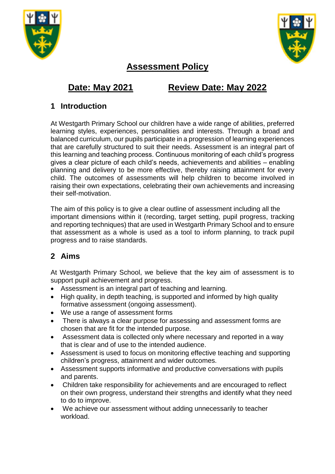



# **Assessment Policy**

# **Date: May 2021 Review Date: May 2022**

# **1 Introduction**

At Westgarth Primary School our children have a wide range of abilities, preferred learning styles, experiences, personalities and interests. Through a broad and balanced curriculum, our pupils participate in a progression of learning experiences that are carefully structured to suit their needs. Assessment is an integral part of this learning and teaching process. Continuous monitoring of each child's progress gives a clear picture of each child's needs, achievements and abilities – enabling planning and delivery to be more effective, thereby raising attainment for every child. The outcomes of assessments will help children to become involved in raising their own expectations, celebrating their own achievements and increasing their self-motivation.

The aim of this policy is to give a clear outline of assessment including all the important dimensions within it (recording, target setting, pupil progress, tracking and reporting techniques) that are used in Westgarth Primary School and to ensure that assessment as a whole is used as a tool to inform planning, to track pupil progress and to raise standards.

# **2 Aims**

At Westgarth Primary School, we believe that the key aim of assessment is to support pupil achievement and progress.

- Assessment is an integral part of teaching and learning.
- High quality, in depth teaching, is supported and informed by high quality formative assessment (ongoing assessment).
- We use a range of assessment forms
- There is always a clear purpose for assessing and assessment forms are chosen that are fit for the intended purpose.
- Assessment data is collected only where necessary and reported in a way that is clear and of use to the intended audience.
- Assessment is used to focus on monitoring effective teaching and supporting children's progress, attainment and wider outcomes.
- Assessment supports informative and productive conversations with pupils and parents.
- Children take responsibility for achievements and are encouraged to reflect on their own progress, understand their strengths and identify what they need to do to improve.
- We achieve our assessment without adding unnecessarily to teacher workload.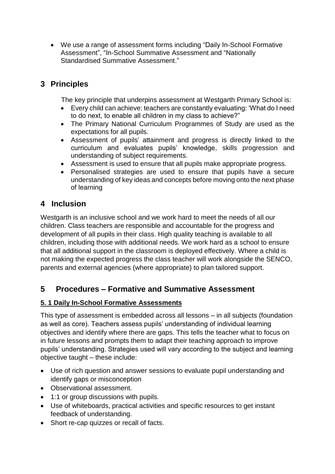• We use a range of assessment forms including "Daily In-School Formative Assessment", "In-School Summative Assessment and "Nationally Standardised Summative Assessment."

# **3 Principles**

The key principle that underpins assessment at Westgarth Primary School is:

- Every child can achieve: teachers are constantly evaluating: 'What do I need to do next, to enable all children in my class to achieve?"
- The Primary National Curriculum Programmes of Study are used as the expectations for all pupils.
- Assessment of pupils' attainment and progress is directly linked to the curriculum and evaluates pupils' knowledge, skills progression and understanding of subject requirements.
- Assessment is used to ensure that all pupils make appropriate progress.
- Personalised strategies are used to ensure that pupils have a secure understanding of key ideas and concepts before moving onto the next phase of learning

## **4 Inclusion**

Westgarth is an inclusive school and we work hard to meet the needs of all our children. Class teachers are responsible and accountable for the progress and development of all pupils in their class. High quality teaching is available to all children, including those with additional needs. We work hard as a school to ensure that all additional support in the classroom is deployed effectively. Where a child is not making the expected progress the class teacher will work alongside the SENCO, parents and external agencies (where appropriate) to plan tailored support.

## **5 Procedures – Formative and Summative Assessment**

#### **5. 1 Daily In-School Formative Assessments**

This type of assessment is embedded across all lessons – in all subjects (foundation as well as core). Teachers assess pupils' understanding of individual learning objectives and identify where there are gaps. This tells the teacher what to focus on in future lessons and prompts them to adapt their teaching approach to improve pupils' understanding. Strategies used will vary according to the subject and learning objective taught – these include:

- Use of rich question and answer sessions to evaluate pupil understanding and identify gaps or misconception
- Observational assessment.
- 1:1 or group discussions with pupils.
- Use of whiteboards, practical activities and specific resources to get instant feedback of understanding.
- Short re-cap quizzes or recall of facts.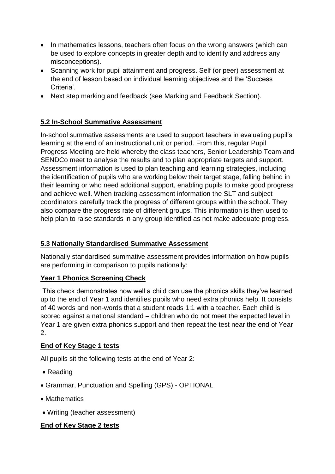- In mathematics lessons, teachers often focus on the wrong answers (which can be used to explore concepts in greater depth and to identify and address any misconceptions).
- Scanning work for pupil attainment and progress. Self (or peer) assessment at the end of lesson based on individual learning objectives and the 'Success Criteria'.
- Next step marking and feedback (see Marking and Feedback Section).

#### **5.2 In-School Summative Assessment**

In-school summative assessments are used to support teachers in evaluating pupil's learning at the end of an instructional unit or period. From this, regular Pupil Progress Meeting are held whereby the class teachers, Senior Leadership Team and SENDCo meet to analyse the results and to plan appropriate targets and support. Assessment information is used to plan teaching and learning strategies, including the identification of pupils who are working below their target stage, falling behind in their learning or who need additional support, enabling pupils to make good progress and achieve well. When tracking assessment information the SLT and subject coordinators carefully track the progress of different groups within the school. They also compare the progress rate of different groups. This information is then used to help plan to raise standards in any group identified as not make adequate progress.

#### **5.3 Nationally Standardised Summative Assessment**

Nationally standardised summative assessment provides information on how pupils are performing in comparison to pupils nationally:

#### **Year 1 Phonics Screening Check**

This check demonstrates how well a child can use the phonics skills they've learned up to the end of Year 1 and identifies pupils who need extra phonics help. It consists of 40 words and non-words that a student reads 1:1 with a teacher. Each child is scored against a national standard – children who do not meet the expected level in Year 1 are given extra phonics support and then repeat the test near the end of Year 2.

#### **End of Key Stage 1 tests**

All pupils sit the following tests at the end of Year 2:

- Reading
- Grammar, Punctuation and Spelling (GPS) OPTIONAL
- Mathematics
- Writing (teacher assessment)

#### **End of Key Stage 2 tests**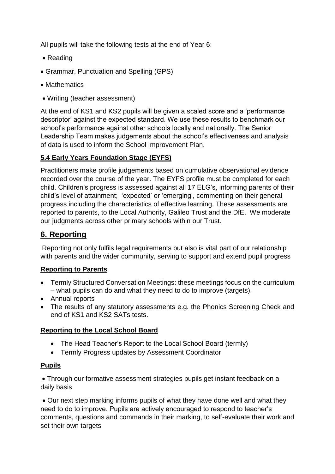All pupils will take the following tests at the end of Year 6:

- Reading
- Grammar, Punctuation and Spelling (GPS)
- Mathematics
- Writing (teacher assessment)

At the end of KS1 and KS2 pupils will be given a scaled score and a 'performance descriptor' against the expected standard. We use these results to benchmark our school's performance against other schools locally and nationally. The Senior Leadership Team makes judgements about the school's effectiveness and analysis of data is used to inform the School Improvement Plan.

#### **5.4 Early Years Foundation Stage (EYFS)**

Practitioners make profile judgements based on cumulative observational evidence recorded over the course of the year. The EYFS profile must be completed for each child. Children's progress is assessed against all 17 ELG's, informing parents of their child's level of attainment; 'expected' or 'emerging', commenting on their general progress including the characteristics of effective learning. These assessments are reported to parents, to the Local Authority, Galileo Trust and the DfE. We moderate our judgments across other primary schools within our Trust.

# **6. Reporting**

Reporting not only fulfils legal requirements but also is vital part of our relationship with parents and the wider community, serving to support and extend pupil progress

#### **Reporting to Parents**

- Termly Structured Conversation Meetings: these meetings focus on the curriculum – what pupils can do and what they need to do to improve (targets).
- Annual reports
- The results of any statutory assessments e.g. the Phonics Screening Check and end of KS1 and KS2 SATs tests.

#### **Reporting to the Local School Board**

- The Head Teacher's Report to the Local School Board (termly)
- Termly Progress updates by Assessment Coordinator

#### **Pupils**

• Through our formative assessment strategies pupils get instant feedback on a daily basis

• Our next step marking informs pupils of what they have done well and what they need to do to improve. Pupils are actively encouraged to respond to teacher's comments, questions and commands in their marking, to self-evaluate their work and set their own targets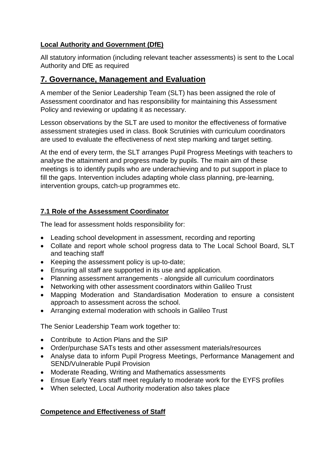#### **Local Authority and Government (DfE)**

All statutory information (including relevant teacher assessments) is sent to the Local Authority and DfE as required

### **7. Governance, Management and Evaluation**

A member of the Senior Leadership Team (SLT) has been assigned the role of Assessment coordinator and has responsibility for maintaining this Assessment Policy and reviewing or updating it as necessary.

Lesson observations by the SLT are used to monitor the effectiveness of formative assessment strategies used in class. Book Scrutinies with curriculum coordinators are used to evaluate the effectiveness of next step marking and target setting.

At the end of every term, the SLT arranges Pupil Progress Meetings with teachers to analyse the attainment and progress made by pupils. The main aim of these meetings is to identify pupils who are underachieving and to put support in place to fill the gaps. Intervention includes adapting whole class planning, pre-learning, intervention groups, catch-up programmes etc.

#### **7.1 Role of the Assessment Coordinator**

The lead for assessment holds responsibility for:

- Leading school development in assessment, recording and reporting
- Collate and report whole school progress data to The Local School Board, SLT and teaching staff
- Keeping the assessment policy is up-to-date;
- Ensuring all staff are supported in its use and application.
- Planning assessment arrangements alongside all curriculum coordinators
- Networking with other assessment coordinators within Galileo Trust
- Mapping Moderation and Standardisation Moderation to ensure a consistent approach to assessment across the school.
- Arranging external moderation with schools in Galileo Trust

The Senior Leadership Team work together to:

- Contribute to Action Plans and the SIP
- Order/purchase SATs tests and other assessment materials/resources
- Analyse data to inform Pupil Progress Meetings, Performance Management and SEND/Vulnerable Pupil Provision
- Moderate Reading, Writing and Mathematics assessments
- Ensue Early Years staff meet regularly to moderate work for the EYFS profiles
- When selected, Local Authority moderation also takes place

#### **Competence and Effectiveness of Staff**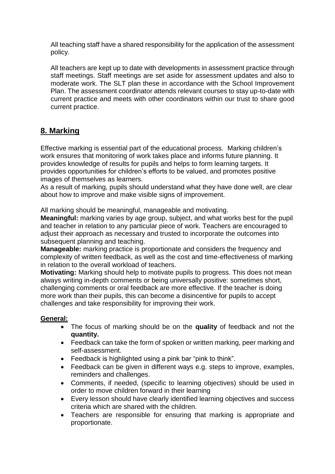All teaching staff have a shared responsibility for the application of the assessment policy.

All teachers are kept up to date with developments in assessment practice through staff meetings. Staff meetings are set aside for assessment updates and also to moderate work. The SLT plan these in accordance with the School Improvement Plan. The assessment coordinator attends relevant courses to stay up-to-date with current practice and meets with other coordinators within our trust to share good current practice.

## **8. Marking**

Effective marking is essential part of the educational process. Marking children's work ensures that monitoring of work takes place and informs future planning. It provides knowledge of results for pupils and helps to form learning targets. It provides opportunities for children's efforts to be valued, and promotes positive images of themselves as learners.

As a result of marking, pupils should understand what they have done well, are clear about how to improve and make visible signs of improvement.

All marking should be meaningful, manageable and motivating.

**Meaningful:** marking varies by age group, subject, and what works best for the pupil and teacher in relation to any particular piece of work. Teachers are encouraged to adjust their approach as necessary and trusted to incorporate the outcomes into subsequent planning and teaching.

**Manageable:** marking practice is proportionate and considers the frequency and complexity of written feedback, as well as the cost and time-effectiveness of marking in relation to the overall workload of teachers.

**Motivating:** Marking should help to motivate pupils to progress. This does not mean always writing in-depth comments or being universally positive: sometimes short, challenging comments or oral feedback are more effective. If the teacher is doing more work than their pupils, this can become a disincentive for pupils to accept challenges and take responsibility for improving their work.

#### **General:**

- The focus of marking should be on the **quality** of feedback and not the **quantity.**
- Feedback can take the form of spoken or written marking, peer marking and self-assessment.
- Feedback is highlighted using a pink bar "pink to think".
- Feedback can be given in different ways e.g. steps to improve, examples, reminders and challenges.
- Comments, if needed, (specific to learning objectives) should be used in order to move children forward in their learning
- Every lesson should have clearly identified learning objectives and success criteria which are shared with the children.
- Teachers are responsible for ensuring that marking is appropriate and proportionate.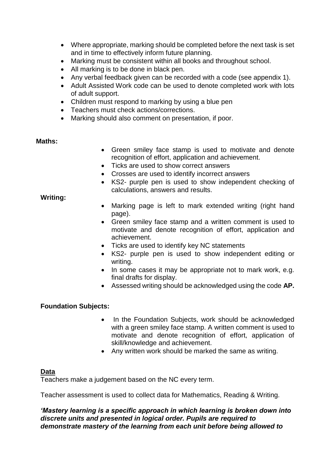- Where appropriate, marking should be completed before the next task is set and in time to effectively inform future planning.
- Marking must be consistent within all books and throughout school.
- All marking is to be done in black pen.
- Any verbal feedback given can be recorded with a code (see appendix 1).
- Adult Assisted Work code can be used to denote completed work with lots of adult support.
- Children must respond to marking by using a blue pen
- Teachers must check actions/corrections.
- Marking should also comment on presentation, if poor.

#### **Maths:**

- Green smiley face stamp is used to motivate and denote recognition of effort, application and achievement.
- Ticks are used to show correct answers
- Crosses are used to identify incorrect answers
- KS2- purple pen is used to show independent checking of calculations, answers and results.

#### **Writing:**

- Marking page is left to mark extended writing (right hand page).
- Green smiley face stamp and a written comment is used to motivate and denote recognition of effort, application and achievement.
- Ticks are used to identify key NC statements
- KS2- purple pen is used to show independent editing or writing.
- In some cases it may be appropriate not to mark work, e.g. final drafts for display.
- Assessed writing should be acknowledged using the code **AP.**

#### **Foundation Subjects:**

- In the Foundation Subjects, work should be acknowledged with a green smiley face stamp. A written comment is used to motivate and denote recognition of effort, application of skill/knowledge and achievement.
- Any written work should be marked the same as writing.

#### **Data**

Teachers make a judgement based on the NC every term.

Teacher assessment is used to collect data for Mathematics, Reading & Writing.

#### *'Mastery learning is a specific approach in which learning is broken down into discrete units and presented in logical order. Pupils are required to demonstrate mastery of the learning from each unit before being allowed to*